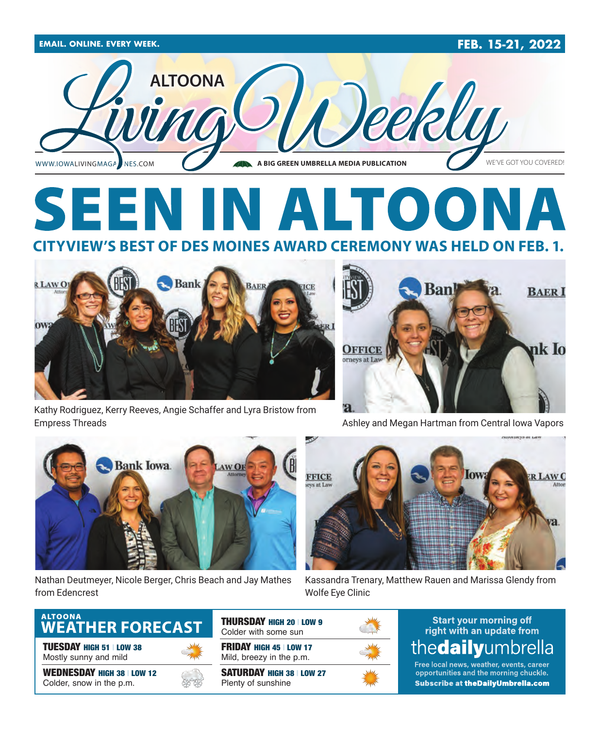

### **SEEN** IN ALTOO **CITYVIEW'S BEST OF DES MOINES AWARD CEREMONY WAS HELD ON FEB. 1.**



Kathy Rodriguez, Kerry Reeves, Angie Schaffer and Lyra Bristow from Empress Threads Ashley and Megan Hartman from Central Iowa Vapors





Nathan Deutmeyer, Nicole Berger, Chris Beach and Jay Mathes from Edencrest



Kassandra Trenary, Matthew Rauen and Marissa Glendy from Wolfe Eye Clinic

### ALTOONA<br>**WEATHER FORECAST**

TUESDAY HIGH 51 | LOW 38 Mostly sunny and mild

WEDNESDAY HIGH 38 | LOW 12 Colder, snow in the p.m.



THURSDAY HIGH 20 | LOW 9 Colder with some sun

FRIDAY HIGH 45 | LOW 17 Mild, breezy in the p.m.

SATURDAY HIGH 38 | LOW 27 Plenty of sunshine



### **Start your morning off** right with an update from thedailyumbrella

Free local news, weather, events, career opportunities and the morning chuckle. **Subscribe at theDailyUmbrella.com**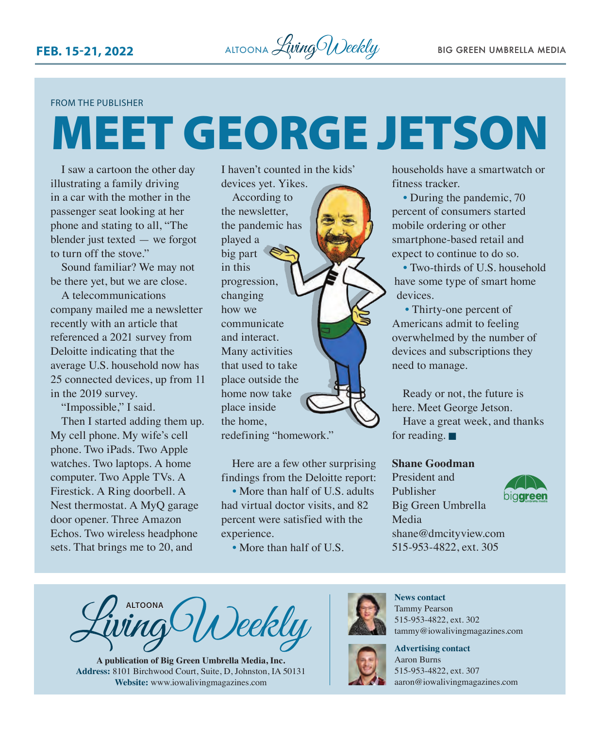#### FROM THE PUBLISHER

# MEET GEORGE JETSON

I saw a cartoon the other day illustrating a family driving in a car with the mother in the passenger seat looking at her phone and stating to all, "The blender just texted — we forgot to turn off the stove."

Sound familiar? We may not be there yet, but we are close.

A telecommunications company mailed me a newsletter recently with an article that referenced a 2021 survey from Deloitte indicating that the average U.S. household now has 25 connected devices, up from 11 in the 2019 survey.

"Impossible," I said. Then I started adding them up. My cell phone. My wife's cell phone. Two iPads. Two Apple watches. Two laptops. A home computer. Two Apple TVs. A Firestick. A Ring doorbell. A Nest thermostat. A MyQ garage door opener. Three Amazon Echos. Two wireless headphone sets. That brings me to 20, and

I haven't counted in the kids' devices yet. Yikes.

According to the newsletter, the pandemic has played a big part in this progression, changing how we communicate and interact. Many activities that used to take place outside the home now take place inside the home, redefining "homework."

Here are a few other surprising findings from the Deloitte report:

• More than half of U.S. adults had virtual doctor visits, and 82 percent were satisfied with the experience.

• More than half of U.S.

households have a smartwatch or fitness tracker.

• During the pandemic, 70 percent of consumers started mobile ordering or other smartphone-based retail and expect to continue to do so.

• Two-thirds of U.S. household have some type of smart home devices.

• Thirty-one percent of Americans admit to feeling overwhelmed by the number of devices and subscriptions they need to manage.

Ready or not, the future is here. Meet George Jetson.

Have a great week, and thanks for reading.  $\blacksquare$ 

#### **Shane Goodman**

President and Publisher Big Green Umbrella Media [shane@dmcityview.com](mailto:shane@dmcityview.com) 515-953-4822, ext. 305



**ALTOONA** *Deekly* 

**A publication of Big Green Umbrella Media, Inc. Address:** 8101 Birchwood Court, Suite, D, Johnston, IA 50131 **Website:** www.iowalivingmagazines.com



**News contact** Tammy Pearson 515-953-4822, ext. 302 tammy@iowalivingmagazines.com



**Advertising contact** Aaron Burns 515-953-4822, ext. 307 [aaron@iowalivingmagazines.com](mailto:aaron@iowalivingmagazines.com)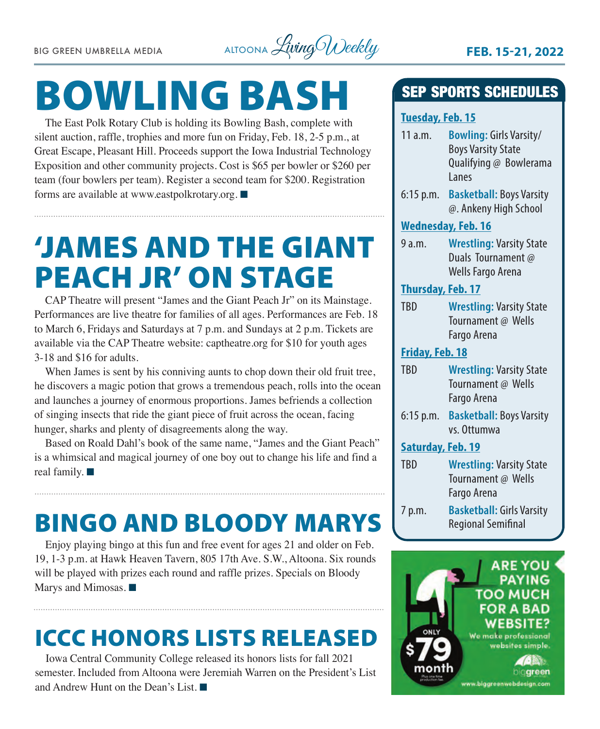

# BOWLING BASH

The East Polk Rotary Club is holding its Bowling Bash, complete with silent auction, raffle, trophies and more fun on Friday, Feb. 18, 2-5 p.m., at Great Escape, Pleasant Hill. Proceeds support the Iowa Industrial Technology Exposition and other community projects. Cost is \$65 per bowler or \$260 per team (four bowlers per team). Register a second team for \$200. Registration forms are available at [www.eastpolkrotary.org](http://www.eastpolkrotary.org).  $\blacksquare$ 

## 'JAMES AND THE GIANT PEACH JR' ON STAGE

CAP Theatre will present "James and the Giant Peach Jr" on its Mainstage. Performances are live theatre for families of all ages. Performances are Feb. 18 to March 6, Fridays and Saturdays at 7 p.m. and Sundays at 2 p.m. Tickets are available via the CAP Theatre website: [captheatre.org](http://captheatre.org) for \$10 for youth ages 3-18 and \$16 for adults.

When James is sent by his conniving aunts to chop down their old fruit tree, he discovers a magic potion that grows a tremendous peach, rolls into the ocean and launches a journey of enormous proportions. James befriends a collection of singing insects that ride the giant piece of fruit across the ocean, facing hunger, sharks and plenty of disagreements along the way.

Based on Roald Dahl's book of the same name, "James and the Giant Peach" is a whimsical and magical journey of one boy out to change his life and find a real family.  $\blacksquare$ 

## BINGO AND BLOODY MARYS

Enjoy playing bingo at this fun and free event for ages 21 and older on Feb. 19, 1-3 p.m. at Hawk Heaven Tavern, 805 17th Ave. S.W., Altoona. Six rounds will be played with prizes each round and raffle prizes. Specials on Bloody Marys and Mimosas.  $\blacksquare$ 

### ICCC HONORS LISTS RELEASED

Iowa Central Community College released its honors lists for fall 2021 semester. Included from Altoona were Jeremiah Warren on the President's List and Andrew Hunt on the Dean's List.

### SEP SPORTS SCHEDULES

#### **Tuesday, Feb. 15**

- 11 a.m. **Bowling:** Girls Varsity/ Boys Varsity State Qualifying @ Bowlerama Lanes
- 6:15 p.m. **Basketball:** Boys Varsity @. Ankeny High School

#### **Wednesday, Feb. 16**

9 a.m. **Wrestling:** Varsity State Duals Tournament @ Wells Fargo Arena

#### **Thursday, Feb. 17**

TBD **Wrestling:** Varsity State Tournament @ Wells Fargo Arena

#### **Friday, Feb. 18**

- TBD **Wrestling:** Varsity State Tournament @ Wells Fargo Arena
- 6:15 p.m. **Basketball:** Boys Varsity vs. Ottumwa

#### **Saturday, Feb. 19**

| <b>TRD</b> | <b>Wrestling: Varsity State</b> |
|------------|---------------------------------|
|            | Tournament @ Wells              |
|            | Fargo Arena                     |
| $7n$ m     | Rackothall: Cirls Varsity       |

7 p.m. **Basketball:** Girls Varsity Regional Semifinal

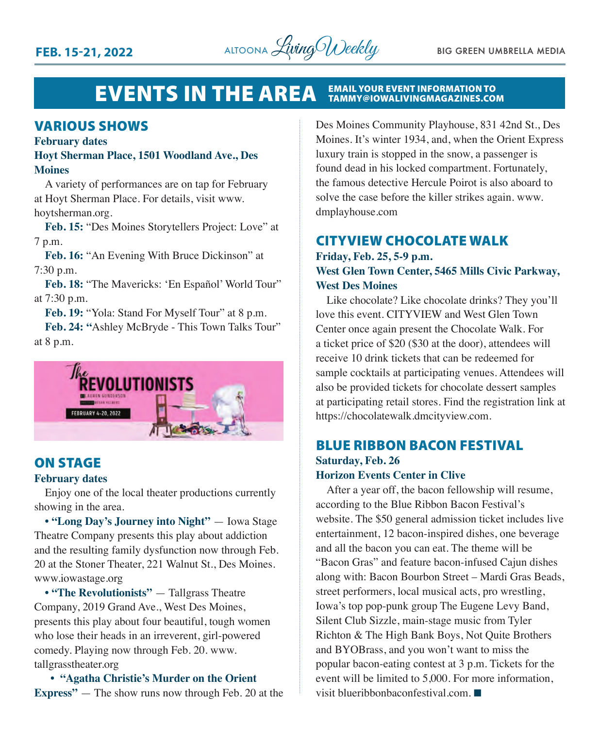

#### EVENTS IN THE AREA EMAIL YOUR EVENT INFORMATION TO TAMMY@IOWALIVINGMAGAZINES.COM

#### VARIOUS SHOWS

#### **February dates**

#### **Hoyt Sherman Place, 1501 Woodland Ave., Des Moines**

A variety of performances are on tap for February at Hoyt Sherman Place. For details, visit [www.](http://www.hoytsherman.org) [hoytsherman.org](http://www.hoytsherman.org).

**Feb. 15:** "Des Moines Storytellers Project: Love" at 7 p.m.

**Feb. 16:** "An Evening With Bruce Dickinson" at 7:30 p.m.

**Feb. 18:** "The Mavericks: 'En Español' World Tour" at 7:30 p.m.

**Feb. 19:** "Yola: Stand For Myself Tour" at 8 p.m.

**Feb. 24: "**Ashley McBryde - This Town Talks Tour" at 8 p.m.



#### ON STAGE

#### **February dates**

Enjoy one of the local theater productions currently showing in the area.

**• "Long Day's Journey into Night"** — Iowa Stage Theatre Company presents this play about addiction and the resulting family dysfunction now through Feb. 20 at the Stoner Theater, 221 Walnut St., Des Moines. [www.iowastage.org](http://www.iowastage.org)

**• "The Revolutionists"** — Tallgrass Theatre Company, 2019 Grand Ave., West Des Moines, presents this play about four beautiful, tough women who lose their heads in an irreverent, girl-powered comedy. Playing now through Feb. 20. [www.](http://www.tallgrasstheater.org) [tallgrasstheater.org](http://www.tallgrasstheater.org)

 **• "Agatha Christie's Murder on the Orient Express"** — The show runs now through Feb. 20 at the Des Moines Community Playhouse, 831 42nd St., Des Moines. It's winter 1934, and, when the Orient Express luxury train is stopped in the snow, a passenger is found dead in his locked compartment. Fortunately, the famous detective Hercule Poirot is also aboard to solve the case before the killer strikes again. [www.](http://www.dmplayhouse.com) [dmplayhouse.com](http://www.dmplayhouse.com)

### CITYVIEW CHOCOLATE WALK

#### **Friday, Feb. 25, 5-9 p.m. West Glen Town Center, 5465 Mills Civic Parkway, West Des Moines**

Like chocolate? Like chocolate drinks? They you'll love this event. CITYVIEW and West Glen Town Center once again present the Chocolate Walk. For a ticket price of \$20 (\$30 at the door), attendees will receive 10 drink tickets that can be redeemed for sample cocktails at participating venues. Attendees will also be provided tickets for chocolate dessert samples at participating retail stores. Find the registration link at [https://chocolatewalk.dmcityview.com.](https://chocolatewalk.dmcityview.com)

#### BLUE RIBBON BACON FESTIVAL **Saturday, Feb. 26 Horizon Events Center in Clive**

After a year off, the bacon fellowship will resume, according to the Blue Ribbon Bacon Festival's website. The \$50 general admission ticket includes live entertainment, 12 bacon-inspired dishes, one beverage and all the bacon you can eat. The theme will be "Bacon Gras" and feature bacon-infused Cajun dishes along with: Bacon Bourbon Street – Mardi Gras Beads, street performers, local musical acts, pro wrestling, Iowa's top pop-punk group The Eugene Levy Band, Silent Club Sizzle, main-stage music from Tyler Richton & The High Bank Boys, Not Quite Brothers and BYOBrass, and you won't want to miss the popular bacon-eating contest at 3 p.m. Tickets for the event will be limited to 5,000. For more information, visit [blueribbonbaconfestival.com](http://blueribbonbaconfestival.com).  $\blacksquare$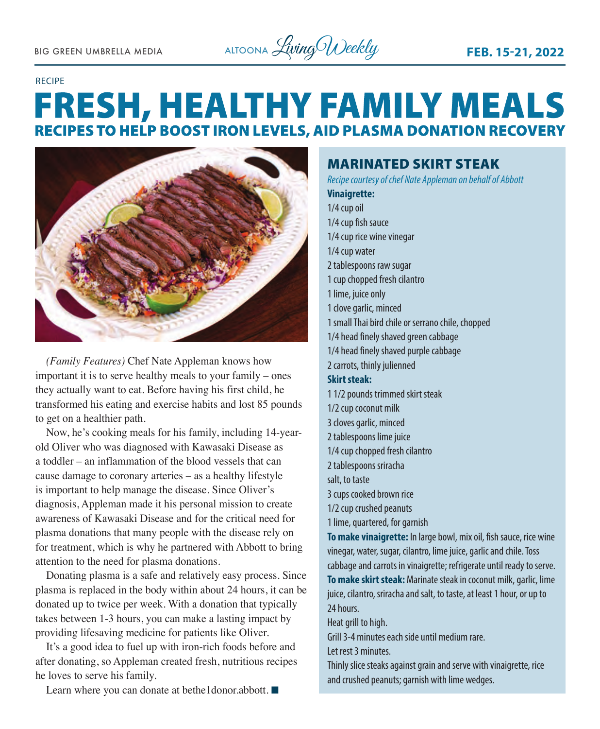

#### RECIPE

### **FRESH, HEALTHY FAMILY MEALS RECIPES TO HELP BOOST IRON LEVELS, AID PLASMA DONATION RECOVERY**



*(Family Features)* Chef Nate Appleman knows how important it is to serve healthy meals to your family – ones they actually want to eat. Before having his first child, he transformed his eating and exercise habits and lost 85 pounds to get on a healthier path.

Now, he's cooking meals for his family, including 14-yearold Oliver who was diagnosed with Kawasaki Disease as a toddler – an inflammation of the blood vessels that can cause damage to coronary arteries – as a healthy lifestyle is important to help manage the disease. Since Oliver's diagnosis, Appleman made it his personal mission to create awareness of Kawasaki Disease and for the critical need for plasma donations that many people with the disease rely on for treatment, which is why he partnered with Abbott to bring attention to the need for plasma donations.

Donating plasma is a safe and relatively easy process. Since plasma is replaced in the body within about 24 hours, it can be donated up to twice per week. With a donation that typically takes between 1-3 hours, you can make a lasting impact by providing lifesaving medicine for patients like Oliver.

It's a good idea to fuel up with iron-rich foods before and after donating, so Appleman created fresh, nutritious recipes he loves to serve his family.

Learn where you can donate at bethe1donor.abbott.  $\blacksquare$ 

MARINATED SKIRT STEAK *Recipe courtesy of chef Nate Appleman on behalf of Abbott* **Vinaigrette:** 1/4 cup oil 1/4 cup fish sauce 1/4 cup rice wine vinegar 1/4 cup water 2 tablespoons raw sugar 1 cup chopped fresh cilantro 1 lime, juice only 1 clove garlic, minced 1 small Thai bird chile or serrano chile, chopped 1/4 head finely shaved green cabbage 1/4 head finely shaved purple cabbage 2 carrots, thinly julienned **Skirt steak:**  1 1/2 pounds trimmed skirt steak 1/2 cup coconut milk 3 cloves garlic, minced 2 tablespoons lime juice 1/4 cup chopped fresh cilantro 2 tablespoons sriracha salt, to taste 3 cups cooked brown rice 1/2 cup crushed peanuts 1 lime, quartered, for garnish **To make vinaigrette:** In large bowl, mix oil, fish sauce, rice wine vinegar, water, sugar, cilantro, lime juice, garlic and chile. Toss cabbage and carrots in vinaigrette; refrigerate until ready to serve. **To make skirt steak:** Marinate steak in coconut milk, garlic, lime juice, cilantro, sriracha and salt, to taste, at least 1 hour, or up to 24 hours. Heat grill to high.

Grill 3-4 minutes each side until medium rare.

Let rest 3 minutes.

Thinly slice steaks against grain and serve with vinaigrette, rice and crushed peanuts; garnish with lime wedges.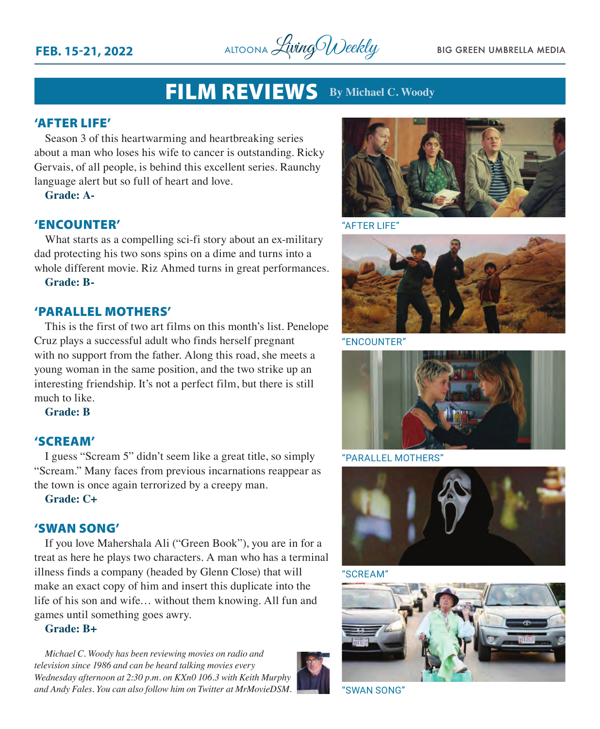**FEB. 15-21, 2022** ALTOONA *Living Weekly* BIG GREEN UMBRELLA MEDIA

### FILM REVIEWS **By Michael C. Woody**

#### 'AFTER LIFE'

Season 3 of this heartwarming and heartbreaking series about a man who loses his wife to cancer is outstanding. Ricky Gervais, of all people, is behind this excellent series. Raunchy language alert but so full of heart and love.

**Grade: A-**

#### 'ENCOUNTER'

What starts as a compelling sci-fi story about an ex-military dad protecting his two sons spins on a dime and turns into a whole different movie. Riz Ahmed turns in great performances.

**Grade: B-**

#### 'PARALLEL MOTHERS'

This is the first of two art films on this month's list. Penelope Cruz plays a successful adult who finds herself pregnant with no support from the father. Along this road, she meets a young woman in the same position, and the two strike up an interesting friendship. It's not a perfect film, but there is still much to like.

**Grade: B**

#### 'SCREAM'

I guess "Scream 5" didn't seem like a great title, so simply "Scream." Many faces from previous incarnations reappear as the town is once again terrorized by a creepy man.

**Grade: C+**

#### 'SWAN SONG'

If you love Mahershala Ali ("Green Book"), you are in for a treat as here he plays two characters. A man who has a terminal illness finds a company (headed by Glenn Close) that will make an exact copy of him and insert this duplicate into the life of his son and wife… without them knowing. All fun and games until something goes awry.

#### **Grade: B+**

*Michael C. Woody has been reviewing movies on radio and television since 1986 and can be heard talking movies every Wednesday afternoon at 2:30 p.m. on KXn0 106.3 with Keith Murphy and Andy Fales. You can also follow him on Twitter at MrMovieDSM.* "SWAN SONG"





"AFTER LIFE"



"ENCOUNTER"



"PARALLEL MOTHERS"



"SCREAM"

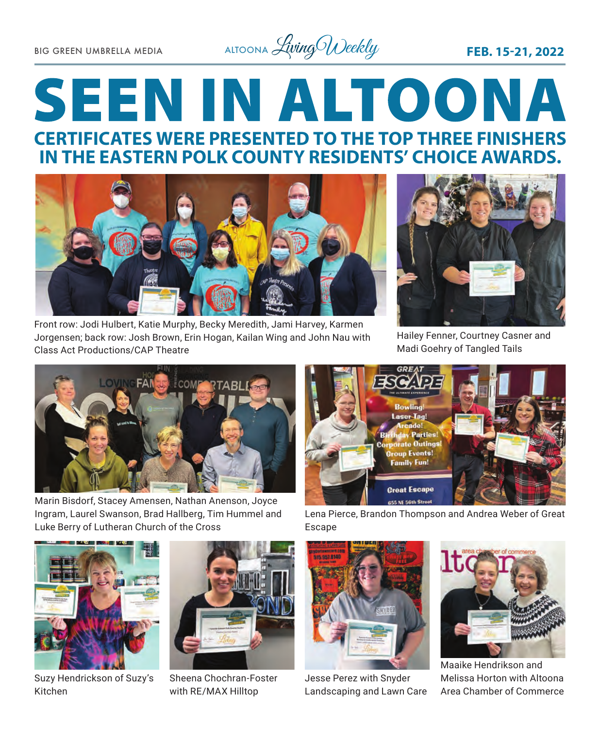BIG GREEN UMBRELLA MEDIA ALTOONA *Living Weekly* FE**B. 15-21, 2022** 

## **SEEN IN ALTOONA CERTIFICATES WERE PRESENTED TO THE TOP THREE FINISHERS IN THE EASTERN POLK COUNTY RESIDENTS' CHOICE AWARDS.**



Front row: Jodi Hulbert, Katie Murphy, Becky Meredith, Jami Harvey, Karmen Jorgensen; back row: Josh Brown, Erin Hogan, Kailan Wing and John Nau with Class Act Productions/CAP Theatre



Hailey Fenner, Courtney Casner and Madi Goehry of Tangled Tails



Marin Bisdorf, Stacey Amensen, Nathan Anenson, Joyce Ingram, Laurel Swanson, Brad Hallberg, Tim Hummel and Luke Berry of Lutheran Church of the Cross



Lena Pierce, Brandon Thompson and Andrea Weber of Great Escape



Suzy Hendrickson of Suzy's Kitchen



Sheena Chochran-Foster with RE/MAX Hilltop



Jesse Perez with Snyder Landscaping and Lawn Care



Maaike Hendrikson and Melissa Horton with Altoona Area Chamber of Commerce